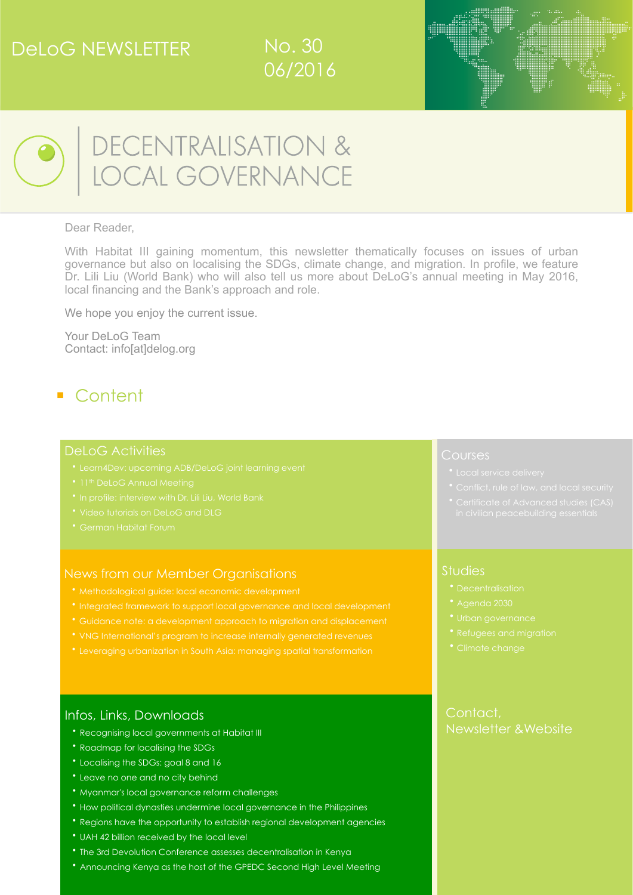## DeLoG NEWSLETTER







■

# DECENTRALISATION &<br>LOCAL GOVERNANCE

#### Dear Reader,

With Habitat III gaining momentum, this newsletter thematically focuses on issues of urban governance but also on localising the SDGs, climate change, and migration. In profile, we feature Dr. Lili Liu (World Bank) who will also tell us more about DeLoG's annual meeting in May 2016, local financing and the Bank's approach and role.

We hope you enjoy the current issue.

Your DeLoG Team Contact: [info\[at\]delog.org](mailto:Jochen.Mattern@giz.de)

## ■ Content

#### Del oG Activities

- 
- 
- [In profile: interview with Dr. Lili Liu, World Bank](#page-1-1)
- 
- 

#### [News from our Member Organisations](http://livepage.apple.com/)

- [Methodological guide: local economic development](#page-2-1)
- [Integrated framework to support local governance and local development](#page-3-0)
- [Guidance note: a development approach to migration and displacement](#page-3-1)
- [VNG International's program to increase internally generated revenues](#page-3-2)
- [Leveraging urbanization in South Asia: managing spatial transformation](#page-3-3)

#### Infos, Links, Downloads

- [Recognising local governments at Habitat III](#page-4-0)
- [Roadmap for localising the SDGs](#page-4-1)
- [Localising the SDGs: goal 8 and 16](#page-4-2)
- [Leave no one and no city behind](#page-5-0)
- [Myanmar's local governance reform challenges](#page-5-1)
- [How political dynasties undermine local governance in the Philippines](#page-5-2)
- [Regions have the opportunity to establish regional development agencies](#page-5-3)
- [UAH 42 billion received by the local level](#page-6-0)
- [The 3rd Devolution Conference assesses decentralisation in Kenya](#page-6-1)
- [Announcing Kenya as the host of the GPEDC Second High Level Meeting](#page-6-2)

#### **Courses**

- 
- 
- 

#### Studies

- 
- 
- 
- 
- 

#### [Contact,](#page-10-1)  [Newsletter &Website](#page-10-1)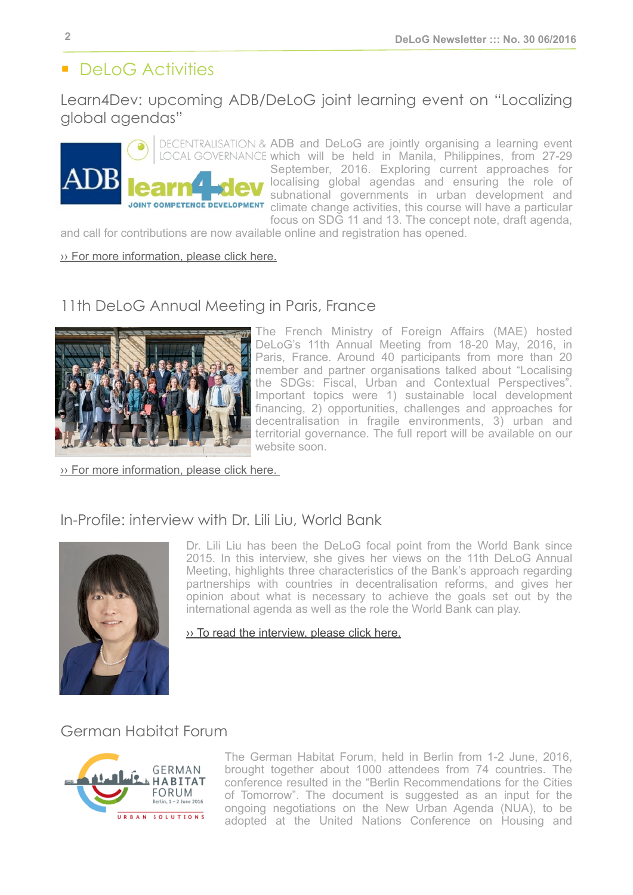## ■ DeLoG Activities

Learn4Dev: upcoming ADB/DeLoG joint learning event on "Localizing global agendas"

DECENTRALISATION & ADB and DeLoG are jointly organising a learning event LOCAL GOVERNANCE which will be held in Manila, Philippines, from 27-29 September, 2016. Exploring current approaches for localising global agendas and ensuring the role of subnational governments in urban development and **COMPETENCE DEVELOPMENT** climate change activities, this course will have a particular focus on SDG 11 and 13. The concept note, draft agenda,

and call for contributions are now available online and registration has opened.

 $\rightarrow$  [For more information, please click here.](http://delog.org/web/joint-learning-event-localizing-global-agendas/)

## <span id="page-1-0"></span>11th DeLoG Annual Meeting in Paris, France



The French Ministry of Foreign Affairs (MAE) hosted DeLoG's 11th Annual Meeting from 18-20 May, 2016, in Paris, France. Around 40 participants from more than 20 member and partner organisations talked about "Localising the SDGs: Fiscal, Urban and Contextual Perspectives". Important topics were 1) sustainable local development financing, 2) opportunities, challenges and approaches for decentralisation in fragile environments, 3) urban and territorial governance. The full report will be available on our website soon.

[›› For more information, please click here.](http://delog.org/web/11th-delog-annual-meeting-in-paris-france/) 

## <span id="page-1-1"></span>In-Profile: interview with Dr. Lili Liu, World Bank



Dr. Lili Liu has been the DeLoG focal point from the World Bank since 2015. In this interview, she gives her views on the 11th DeLoG Annual Meeting, highlights three characteristics of the Bank's approach regarding partnerships with countries in decentralisation reforms, and gives her opinion about what is necessary to achieve the goals set out by the international agenda as well as the role the World Bank can play.

#### [›› To read the interview, please click here.](http://delog.org/web/wp-content/uploads/2016/07/Interview_NL30_Lili_Liu.pdf)

## <span id="page-1-2"></span>German Habitat Forum



The German Habitat Forum, held in Berlin from 1-2 June, 2016, brought together about 1000 attendees from 74 countries. The conference resulted in the "Berlin Recommendations for the Cities of Tomorrow". The document is suggested as an input for the ongoing negotiations on the New Urban Agenda (NUA), to be adopted at the United Nations Conference on Housing and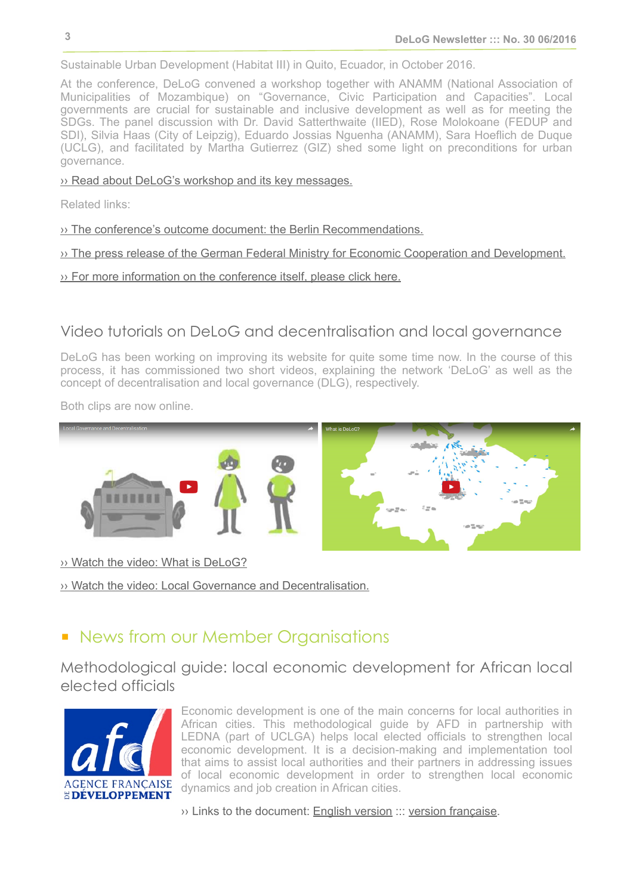Sustainable Urban Development (Habitat III) in Quito, Ecuador, in October 2016.

At the conference, DeLoG convened a workshop together with ANAMM (National Association of Municipalities of Mozambique) on "Governance, Civic Participation and Capacities". Local governments are crucial for sustainable and inclusive development as well as for meeting the SDGs. The panel discussion with Dr. David Satterthwaite (IIED), Rose Molokoane (FEDUP and SDI), Silvia Haas (City of Leipzig), Eduardo Jossias Nguenha (ANAMM), Sara Hoeflich de Duque (UCLG), and facilitated by Martha Gutierrez (GIZ) shed some light on preconditions for urban governance.

#### ›› [Read about DeLoG's workshop and its key messages.](http://delog.org/web/governance-civic-participation-and-capacities/)

Related links:

›› [The conference's outcome document: the Berlin Recommendations](http://www.german-habitat-forum.de/english/assets/berlin_recommendations2.pdf).

›› [The press release of the German Federal Ministry for Economic Cooperation and Development](https://www.bmz.de/en/press/aktuelleMeldungen/2016/juni/160601_pm_047_German-Habitat-Forum-Berlin-2016-Creating-liveable-cities-together/index.html).

›› [For more information on the conference itself, please click here](http://www.german-habitat-forum.de/english/).

## <span id="page-2-0"></span>Video tutorials on DeLoG and decentralisation and local governance

DeLoG has been working on improving its website for quite some time now. In the course of this process, it has commissioned two short videos, explaining the network 'DeLoG' as well as the concept of decentralisation and local governance (DLG), respectively.

Both clips are now online.



›› [Watch the video: What is DeLoG?](http://delog.org/web/about-delog/video-about-delog-dlg/)

›› [Watch the video: Local Governance and Decentralisation.](https://youtu.be/19tFfvuhLEU)

## ■ News from our Member Organisations

<span id="page-2-1"></span>Methodological guide: local economic development for African local elected officials



Economic development is one of the main concerns for local authorities in African cities. This methodological guide by AFD in partnership with LEDNA (part of UCLGA) helps local elected officials to strengthen local economic development. It is a decision-making and implementation tool that aims to assist local authorities and their partners in addressing issues of local economic development in order to strengthen local economic dynamics and job creation in African cities.

›› Links to the document: [English version](http://www.afd.fr/jahia/webdav/site/afd/shared/PORTAILS/SECTEURS/EAU_ET_ASSAINISSEMENT/pdf/AFD-guide-developpement-economique-local-VA.pdf) ::: [version française](http://www.afd.fr/jahia/webdav/site/afd/shared/PORTAILS/SECTEURS/EAU_ET_ASSAINISSEMENT/pdf/AFD-guide-developpement-economique-local.PDF).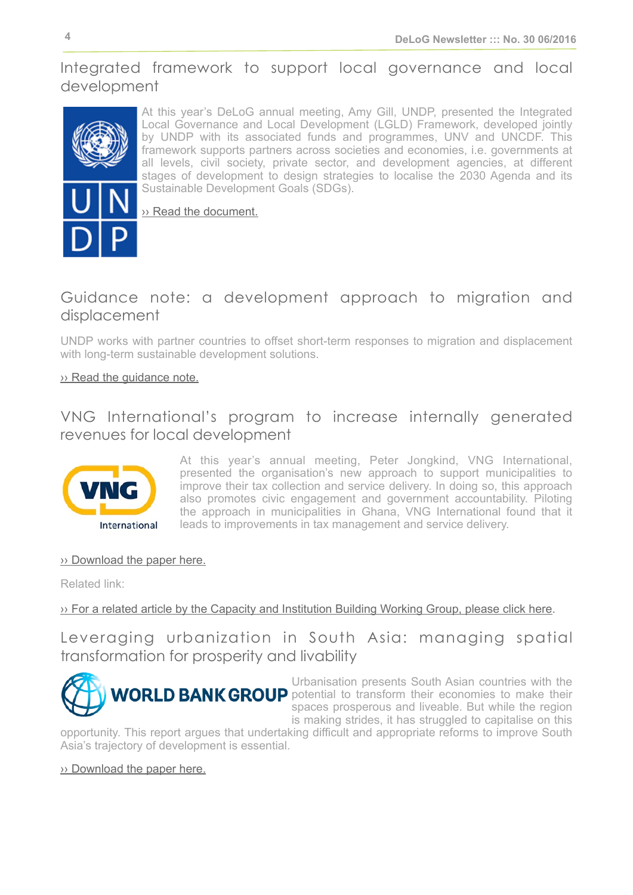## <span id="page-3-0"></span>Integrated framework to support local governance and local development



At this year's DeLoG annual meeting, Amy Gill, UNDP, presented the Integrated Local Governance and Local Development (LGLD) Framework, developed jointly by UNDP with its associated funds and programmes, UNV and UNCDF. This framework supports partners across societies and economies, i.e. governments at all levels, civil society, private sector, and development agencies, at different stages of development to design strategies to localise the 2030 Agenda and its Sustainable Development Goals (SDGs).

›› [Read the document.](http://www.undp.org/content/undp/en/home/librarypage/democratic-governance/local_governance/integrated-framework-to-support-local-governance-and-local-devel.html)

## <span id="page-3-1"></span>Guidance note: a development approach to migration and displacement

UNDP works with partner countries to offset short-term responses to migration and displacement with long-term sustainable development solutions.

#### ›› [Read the guidance note.](http://www.undp.org/content/undp/en/home/librarypage/poverty-reduction/guidance-note---migration-and-displacement.html)

## <span id="page-3-2"></span>VNG International's program to increase internally generated revenues for local development



At this year's annual meeting, Peter Jongkind, VNG International, presented the organisation's new approach to support municipalities to improve their tax collection and service delivery. In doing so, this approach also promotes civic engagement and government accountability. Piloting the approach in municipalities in Ghana, VNG International found that it leads to improvements in tax management and service delivery.

#### ›› [Download the paper here.](http://delog.org/web/wp-content/uploads/2016/05/VNGi-program-to-increase-internally-generated-revenues-for-local-development.pdf)

Related link:

#### ›› [For a related article by the Capacity and Institution Building Working Group, please click here](http://www.cib-uclg.org/news/local-taxation-local-development-programmatic-change-approach-vng-international).

<span id="page-3-3"></span>Leveraging urbanization in South Asia: managing spatial transformation for prosperity and livability



Urbanisation presents South Asian countries with the **WORLD BANK GROUP** potential to transform their economies to make their spaces prosperous and liveable. But while the region is making strides, it has struggled to capitalise on this

opportunity. This report argues that undertaking difficult and appropriate reforms to improve South Asia's trajectory of development is essential.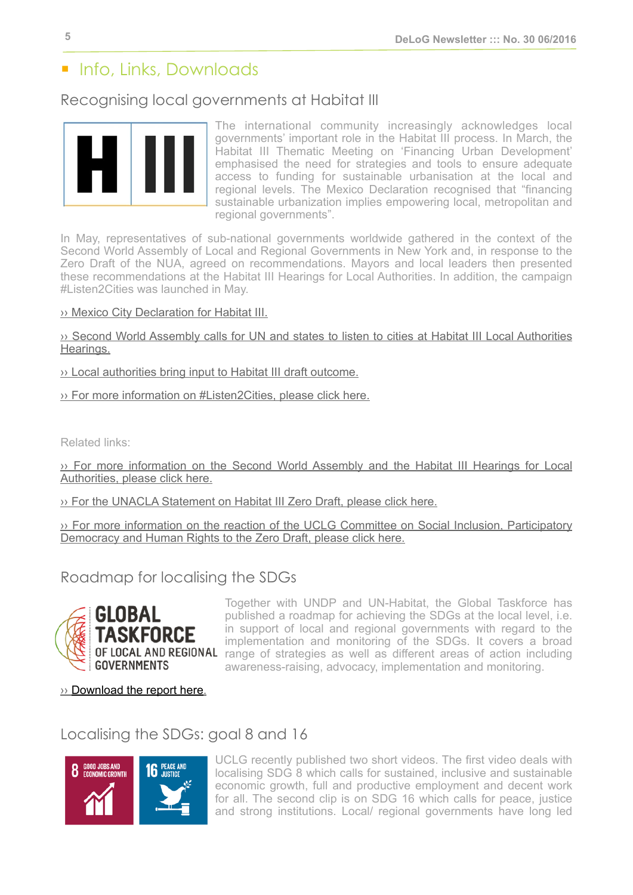## ■ Info, Links, Downloads

#### <span id="page-4-0"></span>Recognising local governments at Habitat III



The international community increasingly acknowledges local governments' important role in the Habitat III process. In March, the Habitat III Thematic Meeting on 'Financing Urban Development' emphasised the need for strategies and tools to ensure adequate access to funding for sustainable urbanisation at the local and regional levels. The Mexico Declaration recognised that "financing sustainable urbanization implies empowering local, metropolitan and regional governments".

In May, representatives of sub-national governments worldwide gathered in the context of the Second World Assembly of Local and Regional Governments in New York and, in response to the Zero Draft of the NUA, agreed on recommendations. Mayors and local leaders then presented these recommendations at the Habitat III Hearings for Local Authorities. In addition, the campaign #Listen2Cities was launched in May.

›› [Mexico City Declaration for Habitat III.](http://habitat3mexicocity.mx/documentos/DeclaracionFinal-borrador/Mexico%20City%20Declaration%20for%20Habitat%20III.pdf)

›› [Second World Assembly calls for UN and states to listen to cities at Habitat III Local Authorities](http://bit.ly/1r505ne) [Hearings.](http://bit.ly/1r505ne)

›› [Local authorities bring input to Habitat III draft outcome.](http://sd.iisd.org/policy-updates/local-authorities-bring-input-to-habitat-iii-draft-outcome/)

›› [For more information on #Listen2Cities, please click here.](https://www.uclg.org/en/media/news/local-networks-call-un-and-member-states-listen2cities-habitat-iii)

Related links:

›› [For more information on the Second World Assembly and the Habitat III Hearings for Local](https://www.uclg.org/en/media/news/seat-table-international-negotiations) [Authorities, please click here.](https://www.uclg.org/en/media/news/seat-table-international-negotiations)

›› [For the UNACLA Statement on Habitat III Zero Draft, please click here.](http://media.wix.com/ugd/bfe783_7c94ec14c6ff4f02996d0a23645503f3.pdf)

›› [For more information on the reaction of the UCLG Committee on Social Inclusion, Participatory](http://www.cisdp.uclg.org/en/news/latest-news/committee%E2%80%99s-reaction-%E2%80%9Czero-draft%E2%80%9D-global-new-urban-agenda) [Democracy and Human Rights to the Zero Draft, please click here.](http://www.cisdp.uclg.org/en/news/latest-news/committee%E2%80%99s-reaction-%E2%80%9Czero-draft%E2%80%9D-global-new-urban-agenda)

<span id="page-4-1"></span>Roadmap for localising the SDGs



Together with UNDP and UN-Habitat, the Global Taskforce has published a roadmap for achieving the SDGs at the local level, i.e. in support of local and regional governments with regard to the implementation and monitoring of the SDGs. It covers a broad OF LOCAL AND REGIONAL range of strategies as well as different areas of action including awareness-raising, advocacy, implementation and monitoring.

›› [Download the report here](http://bit.ly/292UYjh).

## <span id="page-4-2"></span>Localising the SDGs: goal 8 and 16



UCLG recently published two short videos. The first video deals with localising SDG 8 which calls for sustained, inclusive and sustainable economic growth, full and productive employment and decent work for all. The second clip is on SDG 16 which calls for peace, justice and strong institutions. Local/ regional governments have long led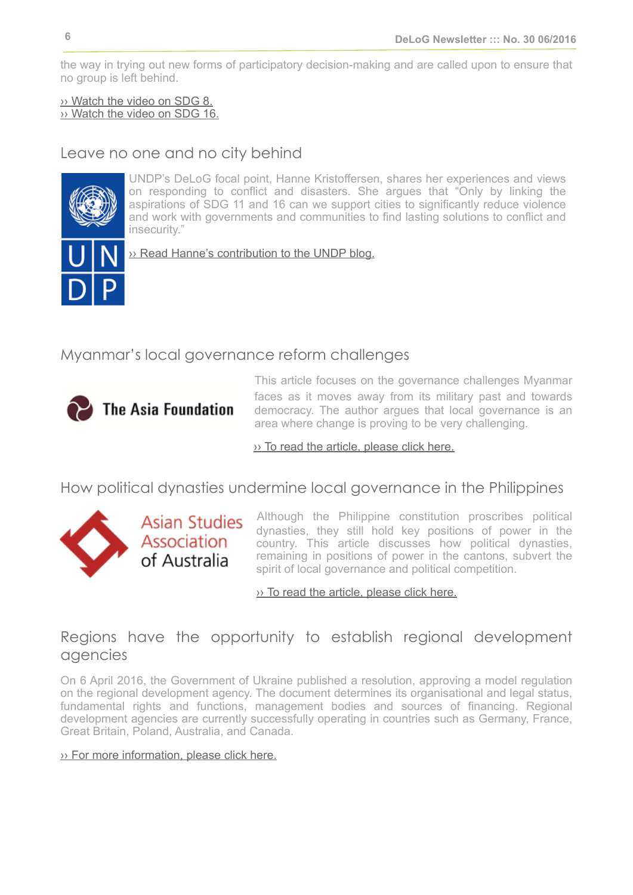the way in trying out new forms of participatory decision-making and are called upon to ensure that no group is left behind.

›› [Watch the video on SDG 8.](https://www.youtube.com/watch?v=HBbEo4qoAmI) ›› [Watch the video on SDG 16.](https://www.youtube.com/watch?v=us85Bu38KuY)

## <span id="page-5-0"></span>Leave no one and no city behind



UNDP's DeLoG focal point, Hanne Kristoffersen, shares her experiences and views on responding to conflict and disasters. She argues that "Only by linking the aspirations of SDG 11 and 16 can we support cities to significantly reduce violence and work with governments and communities to find lasting solutions to conflict and insecurity."

›› [Read Hanne's contribution to the UNDP blog.](http://www.undp.org/content/undp/en/home/blog/2016/5/2/Leave-no-one-and-no-city-behind/)

## <span id="page-5-1"></span>Myanmar's local governance reform challenges



This article focuses on the governance challenges Myanmar faces as it moves away from its military past and towards democracy. The author argues that local governance is an area where change is proving to be very challenging.

 $\overline{\mathcal{P}}$  [To read the article, please click here.](https://asiafoundation.org/2016/06/08/myanmars-local-governance-reform-challenges/)

<span id="page-5-2"></span>How political dynasties undermine local governance in the Philippines



**Asian Studies** Asian Stadies<br>Association<br>of Australia

Although the Philippine constitution proscribes political dynasties, they still hold key positions of power in the country. This article discusses how political dynasties, remaining in positions of power in the cantons, subvert the spirit of local governance and political competition.

›› [To read the article, please click here.](http://asaa.asn.au/how-political-dynasties-undermine-local-governance-in-the-philippines/)

## <span id="page-5-3"></span>Regions have the opportunity to establish regional development agencies

On 6 April 2016, the Government of Ukraine published a resolution, approving a model regulation on the regional development agency. The document determines its organisational and legal status, fundamental rights and functions, management bodies and sources of financing. Regional development agencies are currently successfully operating in countries such as Germany, France, Great Britain, Poland, Australia, and Canada.

#### ›› [For more information, please click here.](http://decentralization.gov.ua/en/news/item/id/2318)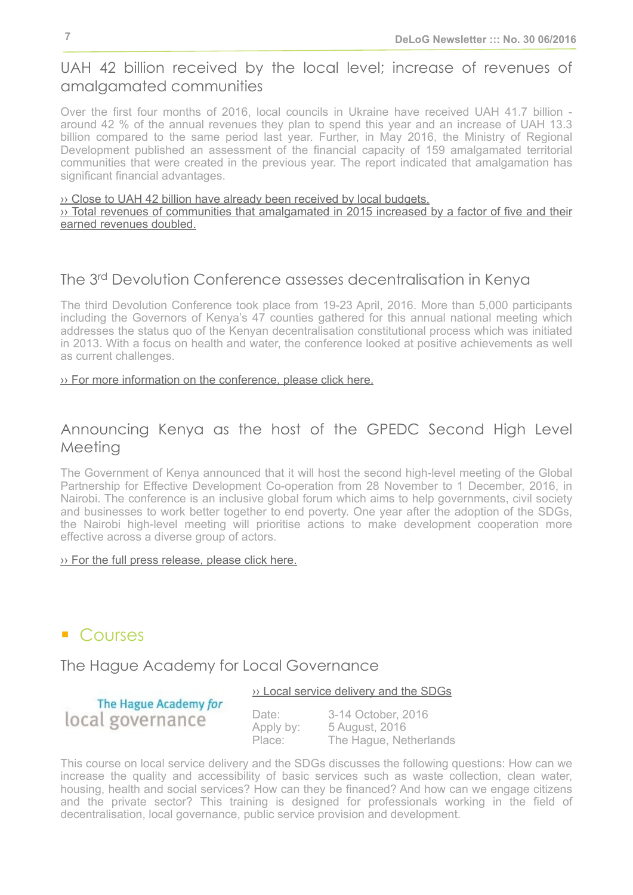## <span id="page-6-0"></span>UAH 42 billion received by the local level; increase of revenues of amalgamated communities

Over the first four months of 2016, local councils in Ukraine have received UAH 41.7 billion around 42 % of the annual revenues they plan to spend this year and an increase of UAH 13.3 billion compared to the same period last year. Further, in May 2016, the Ministry of Regional Development published an assessment of the financial capacity of 159 amalgamated territorial communities that were created in the previous year. The report indicated that amalgamation has significant financial advantages.

#### $\rightarrow$  [Close to UAH 42 billion have already been received by local budgets.](http://decentralization.gov.ua/en/news/item/id/2553)  $\rightarrow$  [Total revenues of communities that amalgamated in 2015 increased by a factor of five and their](http://decentralization.gov.ua/en/news/item/id/2552) [earned revenues doubled.](http://decentralization.gov.ua/en/news/item/id/2552)

## <span id="page-6-1"></span>The 3rd Devolution Conference assesses decentralisation in Kenya

The third Devolution Conference took place from 19-23 April, 2016. More than 5,000 participants including the Governors of Kenya's 47 counties gathered for this annual national meeting which addresses the status quo of the Kenyan decentralisation constitutional process which was initiated in 2013. With a focus on health and water, the conference looked at positive achievements as well as current challenges.

#### ›› [For more information on the conference, please click here.](http://www.regionsunies-fogar.org/en/media-files/news/182-la-3a-devolution-conference-evalua-la-descentralizacion-keniana)

## <span id="page-6-2"></span>Announcing Kenya as the host of the GPEDC Second High Level Meeting

The Government of Kenya announced that it will host the second high-level meeting of the Global Partnership for Effective Development Co-operation from 28 November to 1 December, 2016, in Nairobi. The conference is an inclusive global forum which aims to help governments, civil society and businesses to work better together to end poverty. One year after the adoption of the SDGs, the Nairobi high-level meeting will prioritise actions to make development cooperation more effective across a diverse group of actors.

#### ›› [For the full press release, please click here.](http://www.effectivecooperation.org/2016/04/announcing-kenya-as-the-host-of-the-gpedc-second-high-level-meeting/)

## ■ Courses

## <span id="page-6-3"></span>The Hague Academy for Local Governance

#### ›› [Local service delivery and the SDGs](http://thehagueacademy.com/blog/2015/05/local-service-delivery-2/)

The Hague Academy for local governance

Date: 3-14 October, 2016 Apply by: 5 August, 2016

Place: The Hague, Netherlands

This course on local service delivery and the SDGs discusses the following questions: How can we increase the quality and accessibility of basic services such as waste collection, clean water, housing, health and social services? How can they be financed? And how can we engage citizens and the private sector? This training is designed for professionals working in the field of decentralisation, local governance, public service provision and development.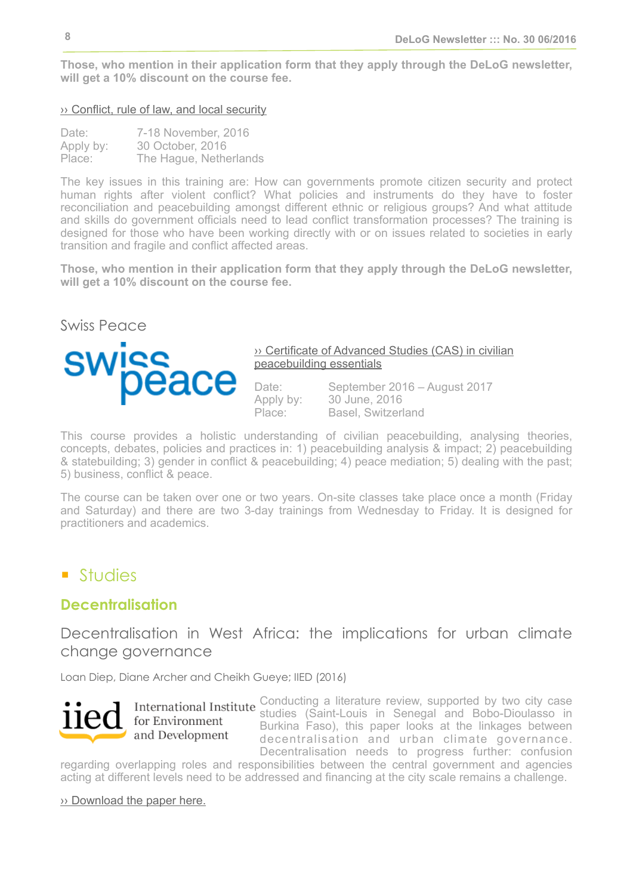**Those, who mention in their application form that they apply through the DeLoG newsletter, will get a 10% discount on the course fee.**

#### <span id="page-7-1"></span> $\rightarrow$  [Conflict, rule of law, and local security](http://www.thehagueacademy.com/conflictandruleoflaw)

| Date:     | 7-18 November, 2016    |
|-----------|------------------------|
| Apply by: | 30 October, 2016       |
| Place:    | The Hague, Netherlands |

The key issues in this training are: How can governments promote citizen security and protect human rights after violent conflict? What policies and instruments do they have to foster reconciliation and peacebuilding amongst different ethnic or religious groups? And what attitude and skills do government officials need to lead conflict transformation processes? The training is designed for those who have been working directly with or on issues related to societies in early transition and fragile and conflict affected areas.

**Those, who mention in their application form that they apply through the DeLoG newsletter, will get a 10% discount on the course fee.**

<span id="page-7-2"></span>

#### ›› [Certificate of Advanced Studies \(CAS\) in civilian](http://www.swisspeace.ch/courses/certificate-programs/peacebuilding-essentials.html)  [peacebuilding essentials](http://www.swisspeace.ch/courses/certificate-programs/peacebuilding-essentials.html)

Date: September 2016 – August 2017 Apply by: 30 June, 2016 Place: Basel, Switzerland

This course provides a holistic understanding of civilian peacebuilding, analysing theories, concepts, debates, policies and practices in: 1) peacebuilding analysis & impact; 2) peacebuilding & statebuilding; 3) gender in conflict & peacebuilding; 4) peace mediation; 5) dealing with the past; 5) business, conflict & peace.

The course can be taken over one or two years. On-site classes take place once a month (Friday and Saturday) and there are two 3-day trainings from Wednesday to Friday. It is designed for practitioners and academics.

## ■ Studies

## <span id="page-7-0"></span>**Decentralisation**

Decentralisation in West Africa: the implications for urban climate change governance

Loan Diep, Diane Archer and Cheikh Gueye; IIED (2016)



for Environment and Development

Conducting a literature review, supported by two city case studies (Saint-Louis in Senegal and Bobo-Dioulasso in Burkina Faso), this paper looks at the linkages between decentralisation and urban climate governance. Decentralisation needs to progress further: confusion

regarding overlapping roles and responsibilities between the central government and agencies acting at different levels need to be addressed and financing at the city scale remains a challenge.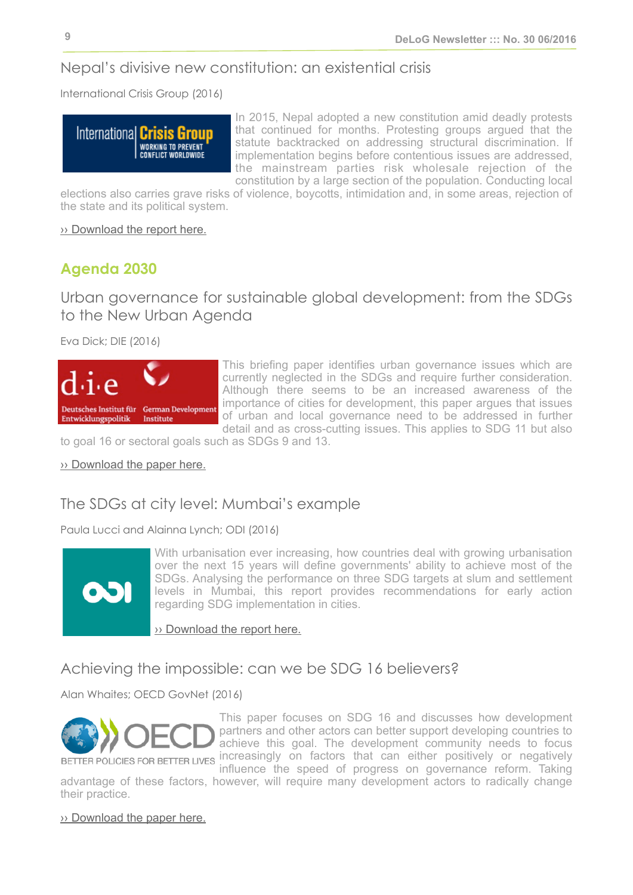## Nepal's divisive new constitution: an existential crisis

International Crisis Group (2016)



In 2015, Nepal adopted a new constitution amid deadly protests that continued for months. Protesting groups argued that the statute backtracked on addressing structural discrimination. If implementation begins before contentious issues are addressed, the mainstream parties risk wholesale rejection of the constitution by a large section of the population. Conducting local

elections also carries grave risks of violence, boycotts, intimidation and, in some areas, rejection of the state and its political system.

›› [Download the report here.](http://www.crisisgroup.org/en/regions/asia/south-asia/nepal/276-nepal-s-divisive-new-constitution-an-existential-crisis.aspx?utm_source=Sign+Up+to+Crisis+Group%27s+Email+Updates&utm_campaign=069c8e831e-Nepal_Report_4April2016&utm_medium=email&utm_term=0_1dab8c11ea-069c8e831e-359248733)

## <span id="page-8-0"></span>**Agenda 2030**

Urban governance for sustainable global development: from the SDGs to the New Urban Agenda

Eva Dick; DIE (2016)



This briefing paper identifies urban governance issues which are currently neglected in the SDGs and require further consideration. Although there seems to be an increased awareness of the importance of cities for development, this paper argues that issues of urban and local governance need to be addressed in further detail and as cross-cutting issues. This applies to SDG 11 but also

to goal 16 or sectoral goals such as SDGs 9 and 13.

›› [Download the paper here.](http://www.die-gdi.de/briefing-paper/article/urban-governance-for-sustainable-global-development-from-the-sdgs-to-the-new-urban-agenda/)

## The SDGs at city level: Mumbai's example

Paula Lucci and Alainna Lynch; ODI (2016)



With urbanisation ever increasing, how countries deal with growing urbanisation over the next 15 years will define governments' ability to achieve most of the SDGs. Analysing the performance on three SDG targets at slum and settlement levels in Mumbai, this report provides recommendations for early action regarding SDG implementation in cities.

›› [Download the report here.](https://www.odi.org/publications/10375-sdgs-city-level-mumbais-example)

## Achieving the impossible: can we be SDG 16 believers?

Alan Whaites; OECD GovNet (2016)



This paper focuses on SDG 16 and discusses how development partners and other actors can better support developing countries to achieve this goal. The development community needs to focus BETTER POLICIES FOR BETTER LIVES INCreasingly on factors that can either positively or negatively

influence the speed of progress on governance reform. Taking advantage of these factors, however, will require many development actors to radically change their practice.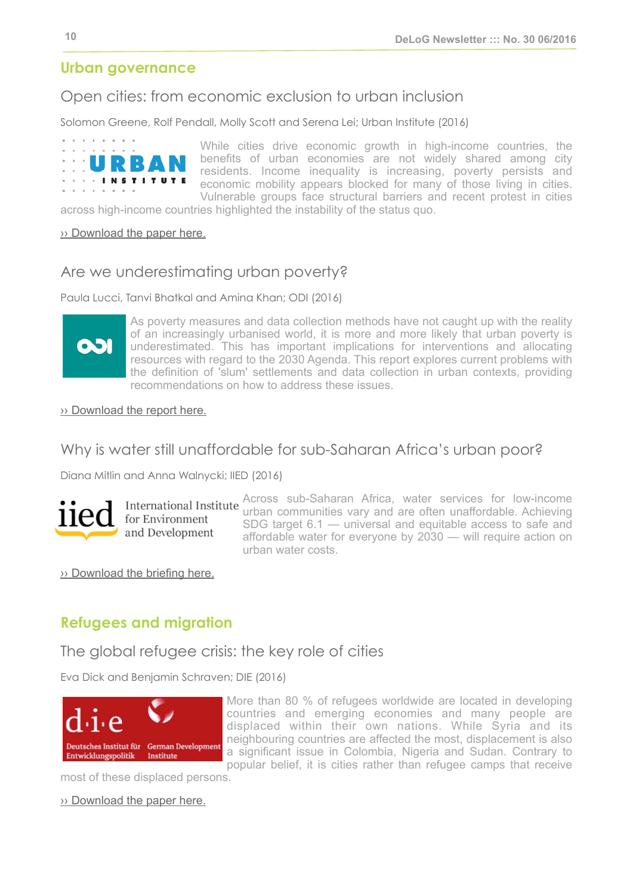## <span id="page-9-0"></span>**Urban governance**

## Open cities: from economic exclusion to urban inclusion

Solomon Greene, Rolf Pendall, Molly Scott and Serena Lei; Urban Institute (2016)



While cities drive economic growth in high-income countries, the benefits of urban economies are not widely shared among city residents. Income inequality is increasing, poverty persists and economic mobility appears blocked for many of those living in cities. Vulnerable groups face structural barriers and recent protest in cities

across high-income countries highlighted the instability of the status quo.

#### ›› [Download the paper here.](http://www.urban.org/sites/default/files/alfresco/publication-pdfs/2000770-Open-Cities-From-Economic-Exclusion-to-Urban-Inclusion.pdf)

#### Are we underestimating urban poverty?

Paula Lucci, Tanvi Bhatkal and Amina Khan; ODI (2016)



As poverty measures and data collection methods have not caught up with the reality of an increasingly urbanised world, it is more and more likely that urban poverty is underestimated. This has important implications for interventions and allocating resources with regard to the 2030 Agenda. This report explores current problems with the definition of 'slum' settlements and data collection in urban contexts, providing recommendations on how to address these issues.

#### ›› [Download the report here.](https://www.odi.org/publications/10358-are-we-underestimating-urban-poverty)

#### Why is water still unaffordable for sub-Saharan Africa's urban poor?

Diana Mitlin and Anna Walnycki; IIED (2016)



for Environment and Development

Across sub-Saharan Africa, water services for low-income urban communities vary and are often unaffordable. Achieving SDG target 6.1 — universal and equitable access to safe and affordable water for everyone by 2030 — will require action on urban water costs.

›› [Download the briefing here.](http://pubs.iied.org/17353IIED.html?c=urban)

## <span id="page-9-1"></span>**Refugees and migration**

#### The global refugee crisis: the key role of cities

Eva Dick and Benjamin Schraven; DIE (2016)



More than 80 % of refugees worldwide are located in developing countries and emerging economies and many people are displaced within their own nations. While Syria and its neighbouring countries are affected the most, displacement is also a significant issue in Colombia, Nigeria and Sudan. Contrary to popular belief, it is cities rather than refugee camps that receive

most of these displaced persons.